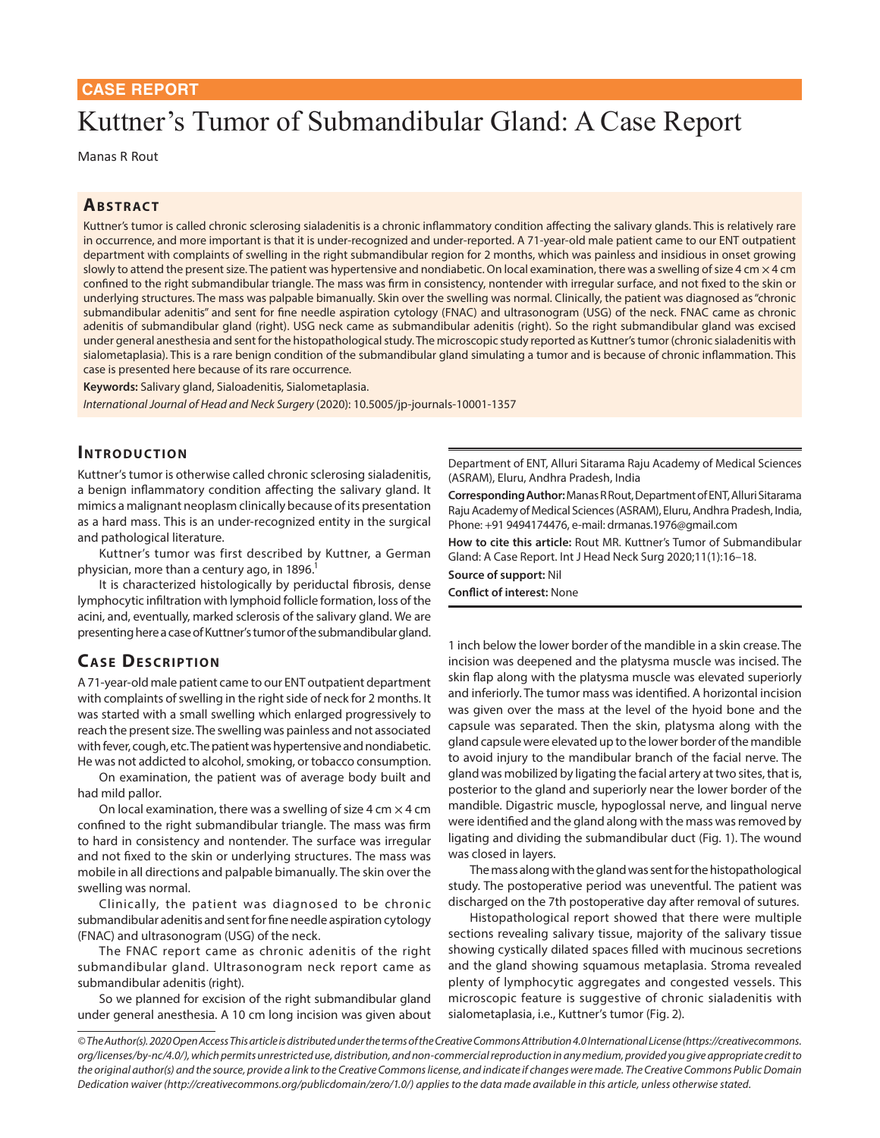# Kuttner's Tumor of Submandibular Gland: A Case Report

Manas R Rout

## **ABSTRACT**

Kuttner's tumor is called chronic sclerosing sialadenitis is a chronic inflammatory condition affecting the salivary glands. This is relatively rare in occurrence, and more important is that it is under-recognized and under-reported. A 71-year-old male patient came to our ENT outpatient department with complaints of swelling in the right submandibular region for 2 months, which was painless and insidious in onset growing slowly to attend the present size. The patient was hypertensive and nondiabetic. On local examination, there was a swelling of size 4 cm  $\times$  4 cm confined to the right submandibular triangle. The mass was firm in consistency, nontender with irregular surface, and not fixed to the skin or underlying structures. The mass was palpable bimanually. Skin over the swelling was normal. Clinically, the patient was diagnosed as "chronic submandibular adenitis" and sent for fine needle aspiration cytology (FNAC) and ultrasonogram (USG) of the neck. FNAC came as chronic adenitis of submandibular gland (right). USG neck came as submandibular adenitis (right). So the right submandibular gland was excised under general anesthesia and sent for the histopathological study. The microscopic study reported as Kuttner's tumor (chronic sialadenitis with sialometaplasia). This is a rare benign condition of the submandibular gland simulating a tumor and is because of chronic inflammation. This case is presented here because of its rare occurrence.

**Keywords:** Salivary gland, Sialoadenitis, Sialometaplasia.

*International Journal of Head and Neck Surgery* (2020): 10.5005/jp-journals-10001-1357

### **INTRODUCTION**

Kuttner's tumor is otherwise called chronic sclerosing sialadenitis, a benign inflammatory condition affecting the salivary gland. It mimics a malignant neoplasm clinically because of its presentation as a hard mass. This is an under-recognized entity in the surgical and pathological literature.

Kuttner's tumor was first described by Kuttner, a German physician, more than a century ago, in 1896.

It is characterized histologically by periductal fibrosis, dense lymphocytic infiltration with lymphoid follicle formation, loss of the acini, and, eventually, marked sclerosis of the salivary gland. We are presenting here a case of Kuttner's tumor of the submandibular gland.

## **CASE DESCRIPTION**

A 71-year-old male patient came to our ENT outpatient department with complaints of swelling in the right side of neck for 2 months. It was started with a small swelling which enlarged progressively to reach the present size. The swelling was painless and not associated with fever, cough, etc. The patient was hypertensive and nondiabetic. He was not addicted to alcohol, smoking, or tobacco consumption.

On examination, the patient was of average body built and had mild pallor.

On local examination, there was a swelling of size 4 cm  $\times$  4 cm confined to the right submandibular triangle. The mass was firm to hard in consistency and nontender. The surface was irregular and not fixed to the skin or underlying structures. The mass was mobile in all directions and palpable bimanually. The skin over the swelling was normal.

Clinically, the patient was diagnosed to be chronic submandibular adenitis and sent for fine needle aspiration cytology (FNAC) and ultrasonogram (USG) of the neck.

The FNAC report came as chronic adenitis of the right submandibular gland. Ultrasonogram neck report came as submandibular adenitis (right).

So we planned for excision of the right submandibular gland under general anesthesia. A 10 cm long incision was given about Department of ENT, Alluri Sitarama Raju Academy of Medical Sciences (ASRAM), Eluru, Andhra Pradesh, India

**Corresponding Author:** Manas R Rout, Department of ENT, Alluri Sitarama Raju Academy of Medical Sciences (ASRAM), Eluru, Andhra Pradesh, India, Phone: +91 9494174476, e-mail: drmanas.1976@gmail.com

**How to cite this article:** Rout MR. Kuttner's Tumor of Submandibular Gland: A Case Report. Int J Head Neck Surg 2020;11(1):16–18.

**Source of support:** Nil **Conflict of interest:** None

1 inch below the lower border of the mandible in a skin crease. The incision was deepened and the platysma muscle was incised. The skin flap along with the platysma muscle was elevated superiorly and inferiorly. The tumor mass was identified. A horizontal incision was given over the mass at the level of the hyoid bone and the capsule was separated. Then the skin, platysma along with the gland capsule were elevated up to the lower border of the mandible to avoid injury to the mandibular branch of the facial nerve. The gland was mobilized by ligating the facial artery at two sites, that is, posterior to the gland and superiorly near the lower border of the mandible. Digastric muscle, hypoglossal nerve, and lingual nerve were identified and the gland along with the mass was removed by ligating and dividing the submandibular duct (Fig. 1). The wound was closed in layers.

The mass along with the gland was sent for the histopathological study. The postoperative period was uneventful. The patient was discharged on the 7th postoperative day after removal of sutures.

Histopathological report showed that there were multiple sections revealing salivary tissue, majority of the salivary tissue showing cystically dilated spaces filled with mucinous secretions and the gland showing squamous metaplasia. Stroma revealed plenty of lymphocytic aggregates and congested vessels. This microscopic feature is suggestive of chronic sialadenitis with sialometaplasia, i.e., Kuttner's tumor (Fig. 2).

*© The Author(s). 2020 Open Access This article is distributed under the terms of the Creative Commons Attribution 4.0 International License (https://creativecommons. org/licenses/by-nc/4.0/), which permits unrestricted use, distribution, and non-commercial reproduction in any medium, provided you give appropriate credit to the original author(s) and the source, provide a link to the Creative Commons license, and indicate if changes were made. The Creative Commons Public Domain Dedication waiver (http://creativecommons.org/publicdomain/zero/1.0/) applies to the data made available in this article, unless otherwise stated.*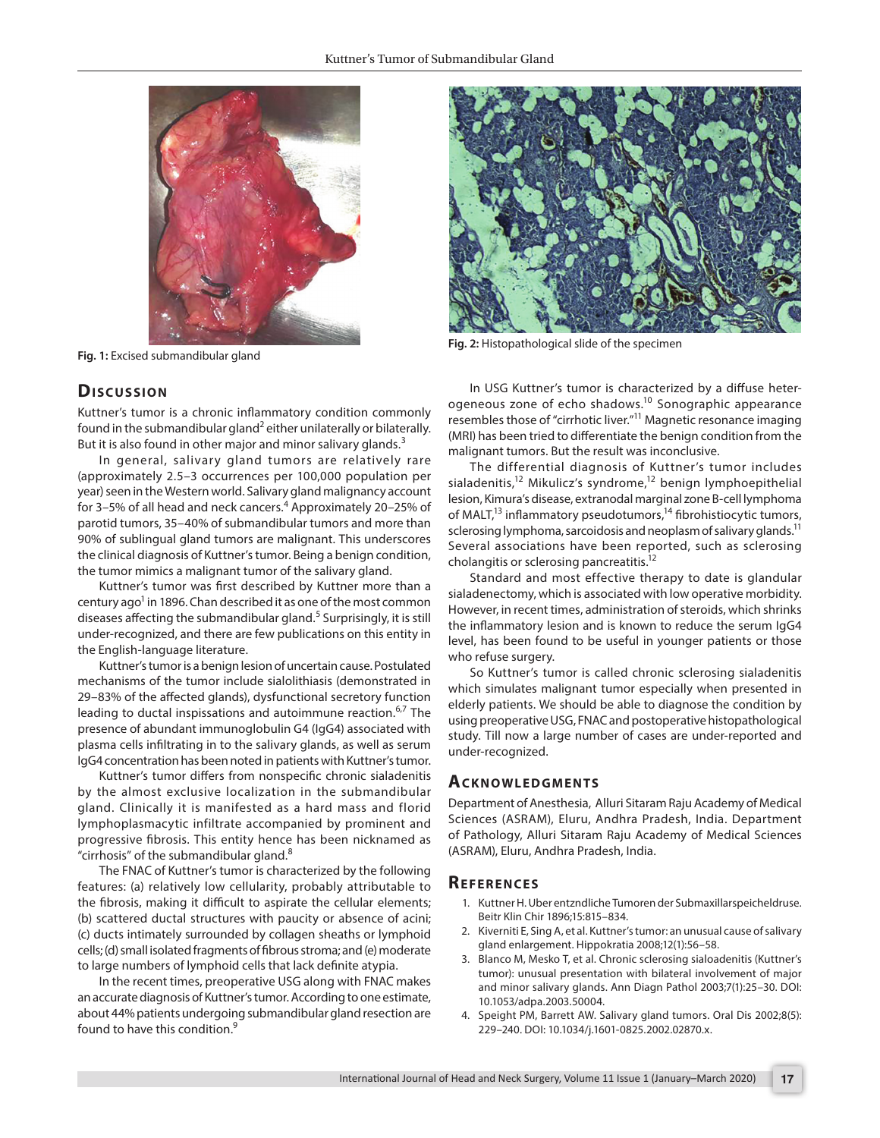

**Fig. 1:** Excised submandibular gland

## **Dis c u s sio n**

Kuttner's tumor is a chronic inflammatory condition commonly found in the submandibular gland<sup>2</sup> either unilaterally or bilaterally. But it is also found in other major and minor salivary glands. $3$ 

In general, salivary gland tumors are relatively rare (approximately 2.5–3 occurrences per 100,000 population per year) seen in the Western world. Salivary gland malignancy account for 3–5% of all head and neck cancers.<sup>4</sup> Approximately 20–25% of parotid tumors, 35–40% of submandibular tumors and more than 90% of sublingual gland tumors are malignant. This underscores the clinical diagnosis of Kuttner's tumor. Being a benign condition, the tumor mimics a malignant tumor of the salivary gland.

Kuttner's tumor was first described by Kuttner more than a century ago<sup>1</sup> in 1896. Chan described it as one of the most common diseases affecting the submandibular gland.<sup>5</sup> Surprisingly, it is still under-recognized, and there are few publications on this entity in the English-language literature.

Kuttner's tumor is a benign lesion of uncertain cause. Postulated mechanisms of the tumor include sialolithiasis (demonstrated in 29–83% of the affected glands), dysfunctional secretory function leading to ductal inspissations and autoimmune reaction.<sup>6,7</sup> The presence of abundant immunoglobulin G4 (IgG4) associated with plasma cells infiltrating in to the salivary glands, as well as serum IgG4 concentration has been noted in patients with Kuttner's tumor.

Kuttner's tumor differs from nonspecific chronic sialadenitis by the almost exclusive localization in the submandibular gland. Clinically it is manifested as a hard mass and florid lymphoplasmacytic infiltrate accompanied by prominent and progressive fibrosis. This entity hence has been nicknamed as "cirrhosis" of the submandibular gland. $8$ 

The FNAC of Kuttner's tumor is characterized by the following features: (a) relatively low cellularity, probably attributable to the fibrosis, making it difficult to aspirate the cellular elements; (b) scattered ductal structures with paucity or absence of acini; (c) ducts intimately surrounded by collagen sheaths or lymphoid cells; (d) small isolated fragments of fibrous stroma; and (e) moderate to large numbers of lymphoid cells that lack definite atypia.

In the recent times, preoperative USG along with FNAC makes an accurate diagnosis of Kuttner's tumor. According to one estimate, about 44% patients undergoing submandibular gland resection are found to have this condition.9



**Fig. 2:** Histopathological slide of the specimen

In USG Kuttner's tumor is characterized by a diffuse heterogeneous zone of echo shadows.10 Sonographic appearance resembles those of "cirrhotic liver."11 Magnetic resonance imaging (MRI) has been tried to differentiate the benign condition from the malignant tumors. But the result was inconclusive.

The differential diagnosis of Kuttner's tumor includes sialadenitis,<sup>12</sup> Mikulicz's syndrome,<sup>12</sup> benign lymphoepithelial lesion, Kimura's disease, extranodal marginal zone B-cell lymphoma of MALT,<sup>13</sup> inflammatory pseudotumors,<sup>14</sup> fibrohistiocytic tumors, sclerosing lymphoma, sarcoidosis and neoplasm of salivary glands.<sup>11</sup> Several associations have been reported, such as sclerosing cholangitis or sclerosing pancreatitis.12

Standard and most effective therapy to date is glandular sialadenectomy, which is associated with low operative morbidity. However, in recent times, administration of steroids, which shrinks the inflammatory lesion and is known to reduce the serum IgG4 level, has been found to be useful in younger patients or those who refuse surgery.

So Kuttner's tumor is called chronic sclerosing sialadenitis which simulates malignant tumor especially when presented in elderly patients. We should be able to diagnose the condition by using preoperative USG, FNAC and postoperative histopathological study. Till now a large number of cases are under-reported and under-recognized.

#### **ACKNOWLEDGMENTS**

Department of Anesthesia, Alluri Sitaram Raju Academy of Medical Sciences (ASRAM), Eluru, Andhra Pradesh, India. Department of Pathology, Alluri Sitaram Raju Academy of Medical Sciences (ASRAM), Eluru, Andhra Pradesh, India.

#### **Re f e r e n c e s**

- 1. Kuttner H. Uber entzndliche Tumoren der Submaxillarspeicheldruse. Beitr Klin Chir 1896;15:815–834.
- 2. Kiverniti E, Sing A, et al. Kuttner's tumor: an unusual cause of salivary gland enlargement. Hippokratia 2008;12(1):56–58.
- 3. Blanco M, Mesko T, et al. Chronic sclerosing sialoadenitis (Kuttner's tumor): unusual presentation with bilateral involvement of major and minor salivary glands. Ann Diagn Pathol 2003;7(1):25–30. DOI: 10.1053/adpa.2003.50004.
- 4. Speight PM, Barrett AW. Salivary gland tumors. Oral Dis 2002;8(5): 229–240. DOI: 10.1034/j.1601-0825.2002.02870.x.